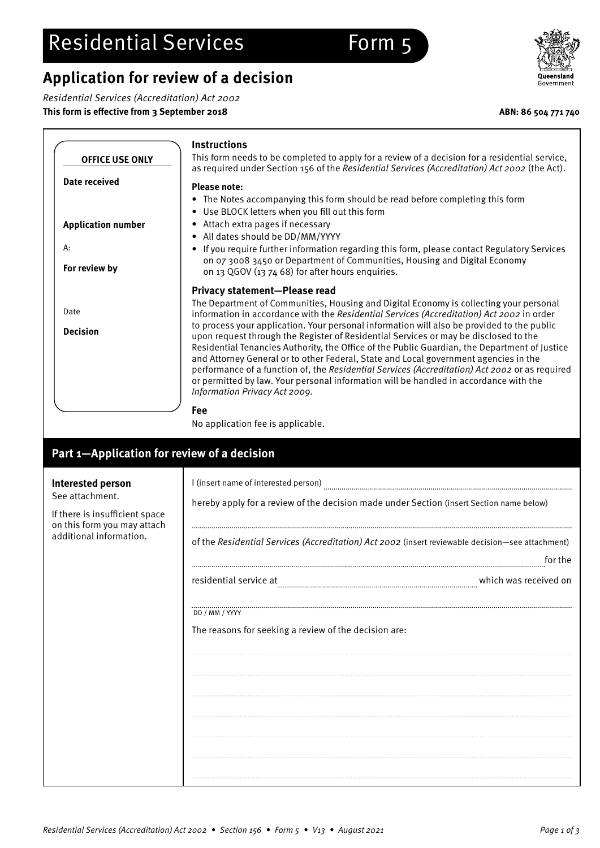# **Application for review of a decision**

**Instructions**

Residential Services (Accreditation) Act 2002

**This form is effective from 3 September 2018 ABN: 86 504 771 740**

**OFFICE USE ONLY**

| <b>Date received</b>                                             | <b>Please note:</b>                                                                                                                                                                                                                                                                                                                                                                                                                                                                                       |  |  |  |
|------------------------------------------------------------------|-----------------------------------------------------------------------------------------------------------------------------------------------------------------------------------------------------------------------------------------------------------------------------------------------------------------------------------------------------------------------------------------------------------------------------------------------------------------------------------------------------------|--|--|--|
|                                                                  | • The Notes accompanying this form should be read before completing this form                                                                                                                                                                                                                                                                                                                                                                                                                             |  |  |  |
|                                                                  | • Use BLOCK letters when you fill out this form                                                                                                                                                                                                                                                                                                                                                                                                                                                           |  |  |  |
| <b>Application number</b>                                        | • Attach extra pages if necessary                                                                                                                                                                                                                                                                                                                                                                                                                                                                         |  |  |  |
|                                                                  | • All dates should be DD/MM/YYYY                                                                                                                                                                                                                                                                                                                                                                                                                                                                          |  |  |  |
| А:                                                               | • If you require further information regarding this form, please contact Regulatory Services<br>on 07 3008 3450 or Department of Communities, Housing and Digital Economy                                                                                                                                                                                                                                                                                                                                 |  |  |  |
| For review by                                                    | on 13 QGOV (13 74 68) for after hours enquiries.                                                                                                                                                                                                                                                                                                                                                                                                                                                          |  |  |  |
|                                                                  | Privacy statement-Please read                                                                                                                                                                                                                                                                                                                                                                                                                                                                             |  |  |  |
| Date                                                             | The Department of Communities, Housing and Digital Economy is collecting your personal                                                                                                                                                                                                                                                                                                                                                                                                                    |  |  |  |
|                                                                  | information in accordance with the Residential Services (Accreditation) Act 2002 in order<br>to process your application. Your personal information will also be provided to the public                                                                                                                                                                                                                                                                                                                   |  |  |  |
| <b>Decision</b>                                                  | upon request through the Register of Residential Services or may be disclosed to the<br>Residential Tenancies Authority, the Office of the Public Guardian, the Department of Justice<br>and Attorney General or to other Federal, State and Local government agencies in the<br>performance of a function of, the Residential Services (Accreditation) Act 2002 or as required<br>or permitted by law. Your personal information will be handled in accordance with the<br>Information Privacy Act 2009. |  |  |  |
|                                                                  | Fee                                                                                                                                                                                                                                                                                                                                                                                                                                                                                                       |  |  |  |
|                                                                  | No application fee is applicable.                                                                                                                                                                                                                                                                                                                                                                                                                                                                         |  |  |  |
| Part 1-Application for review of a decision<br>Interested person |                                                                                                                                                                                                                                                                                                                                                                                                                                                                                                           |  |  |  |
| See attachment.                                                  |                                                                                                                                                                                                                                                                                                                                                                                                                                                                                                           |  |  |  |
| If there is insufficient space                                   | hereby apply for a review of the decision made under Section (insert Section name below)                                                                                                                                                                                                                                                                                                                                                                                                                  |  |  |  |
| on this form you may attach<br>additional information.           | of the Residential Services (Accreditation) Act 2002 (insert reviewable decision-see attachment)<br>for the                                                                                                                                                                                                                                                                                                                                                                                               |  |  |  |
|                                                                  | residential service at manufacture and the material service at manufacture and the material service don                                                                                                                                                                                                                                                                                                                                                                                                   |  |  |  |
|                                                                  | DD / MM / YYYY                                                                                                                                                                                                                                                                                                                                                                                                                                                                                            |  |  |  |
|                                                                  | The reasons for seeking a review of the decision are:                                                                                                                                                                                                                                                                                                                                                                                                                                                     |  |  |  |
|                                                                  |                                                                                                                                                                                                                                                                                                                                                                                                                                                                                                           |  |  |  |
|                                                                  |                                                                                                                                                                                                                                                                                                                                                                                                                                                                                                           |  |  |  |
|                                                                  |                                                                                                                                                                                                                                                                                                                                                                                                                                                                                                           |  |  |  |
|                                                                  |                                                                                                                                                                                                                                                                                                                                                                                                                                                                                                           |  |  |  |
|                                                                  |                                                                                                                                                                                                                                                                                                                                                                                                                                                                                                           |  |  |  |





This form needs to be completed to apply for a review of a decision for a residential service, as required under Section 156 of the Residential Services (Accreditation) Act 2002 (the Act).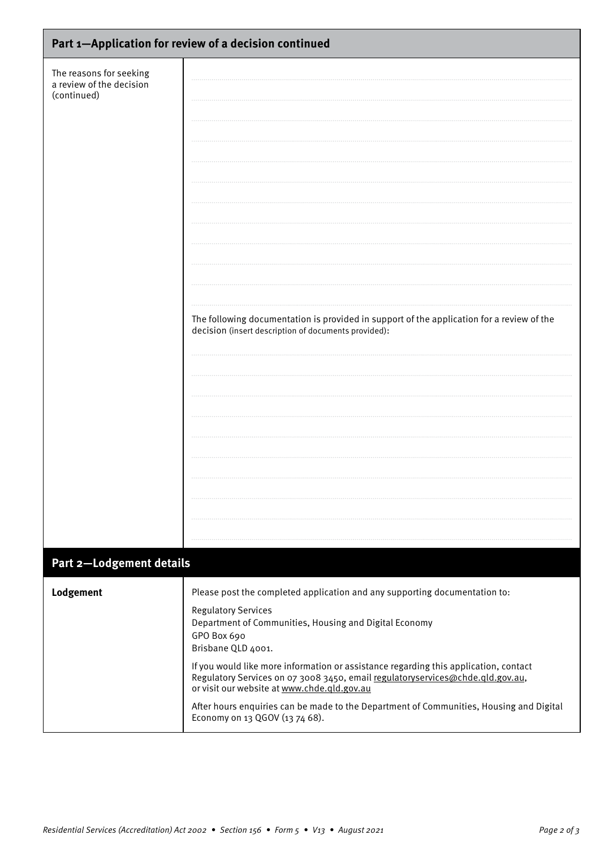| Part 1-Application for review of a decision continued              |                                                                                                                                                                                                                                                                                                                                                                                                                                                                                                                                                               |  |  |  |
|--------------------------------------------------------------------|---------------------------------------------------------------------------------------------------------------------------------------------------------------------------------------------------------------------------------------------------------------------------------------------------------------------------------------------------------------------------------------------------------------------------------------------------------------------------------------------------------------------------------------------------------------|--|--|--|
| The reasons for seeking<br>a review of the decision<br>(continued) | The following documentation is provided in support of the application for a review of the<br>decision (insert description of documents provided):                                                                                                                                                                                                                                                                                                                                                                                                             |  |  |  |
|                                                                    |                                                                                                                                                                                                                                                                                                                                                                                                                                                                                                                                                               |  |  |  |
| Part 2-Lodgement details                                           |                                                                                                                                                                                                                                                                                                                                                                                                                                                                                                                                                               |  |  |  |
| Lodgement                                                          | Please post the completed application and any supporting documentation to:<br><b>Regulatory Services</b><br>Department of Communities, Housing and Digital Economy<br>GPO Box 690<br>Brisbane QLD 4001.<br>If you would like more information or assistance regarding this application, contact<br>Regulatory Services on 07 3008 3450, email regulatoryservices@chde.qld.gov.au,<br>or visit our website at www.chde.qld.gov.au<br>After hours enquiries can be made to the Department of Communities, Housing and Digital<br>Economy on 13 QGOV (13 74 68). |  |  |  |